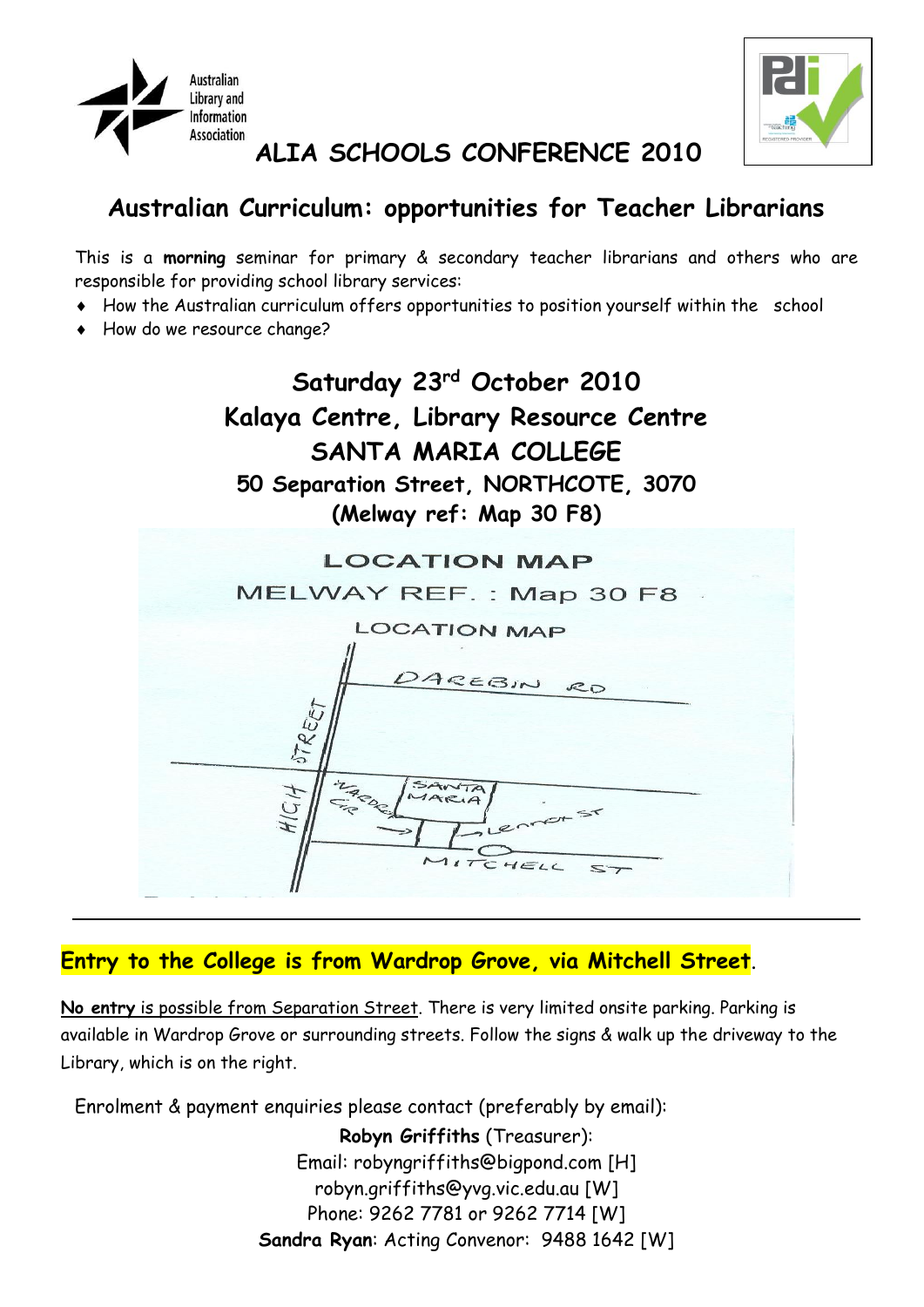



### **ALIA SCHOOLS CONFERENCE 2010**

# **Australian Curriculum: opportunities for Teacher Librarians**

This is a **morning** seminar for primary & secondary teacher librarians and others who are responsible for providing school library services:

- How the Australian curriculum offers opportunities to position yourself within the school
- How do we resource change?



#### **Entry to the College is from Wardrop Grove, via Mitchell Street**.

**No entry** is possible from Separation Street. There is very limited onsite parking. Parking is available in Wardrop Grove or surrounding streets. Follow the signs & walk up the driveway to the Library, which is on the right.

Enrolment & payment enquiries please contact (preferably by email):

**Robyn Griffiths** (Treasurer): Email: robyngriffiths@bigpond.com [H] robyn.griffiths@yvg.vic.edu.au [W] Phone: 9262 7781 or 9262 7714 [W] **Sandra Ryan**: Acting Convenor: 9488 1642 [W]